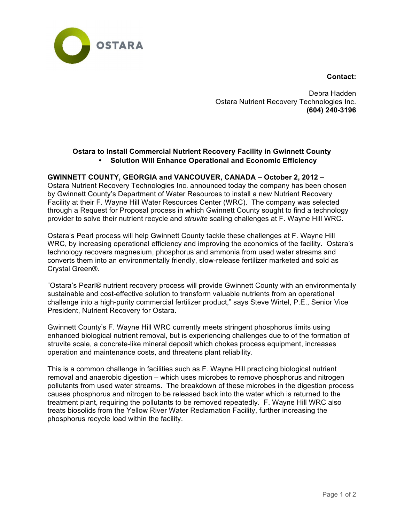



Debra Hadden Ostara Nutrient Recovery Technologies Inc. **(604) 240-3196**

## **Ostara to Install Commercial Nutrient Recovery Facility in Gwinnett County** • **Solution Will Enhance Operational and Economic Efficiency**

## **GWINNETT COUNTY, GEORGIA and VANCOUVER, CANADA – October 2, 2012 –**

Ostara Nutrient Recovery Technologies Inc. announced today the company has been chosen by Gwinnett County's Department of Water Resources to install a new Nutrient Recovery Facility at their F. Wayne Hill Water Resources Center (WRC). The company was selected through a Request for Proposal process in which Gwinnett County sought to find a technology provider to solve their nutrient recycle and *struvite* scaling challenges at F. Wayne Hill WRC.

Ostara's Pearl process will help Gwinnett County tackle these challenges at F. Wayne Hill WRC, by increasing operational efficiency and improving the economics of the facility. Ostara's technology recovers magnesium, phosphorus and ammonia from used water streams and converts them into an environmentally friendly, slow-release fertilizer marketed and sold as Crystal Green®.

"Ostara's Pearl® nutrient recovery process will provide Gwinnett County with an environmentally sustainable and cost-effective solution to transform valuable nutrients from an operational challenge into a high-purity commercial fertilizer product," says Steve Wirtel, P.E., Senior Vice President, Nutrient Recovery for Ostara.

Gwinnett County's F. Wayne Hill WRC currently meets stringent phosphorus limits using enhanced biological nutrient removal, but is experiencing challenges due to of the formation of struvite scale, a concrete-like mineral deposit which chokes process equipment, increases operation and maintenance costs, and threatens plant reliability.

This is a common challenge in facilities such as F. Wayne Hill practicing biological nutrient removal and anaerobic digestion – which uses microbes to remove phosphorus and nitrogen pollutants from used water streams. The breakdown of these microbes in the digestion process causes phosphorus and nitrogen to be released back into the water which is returned to the treatment plant, requiring the pollutants to be removed repeatedly. F. Wayne Hill WRC also treats biosolids from the Yellow River Water Reclamation Facility, further increasing the phosphorus recycle load within the facility.